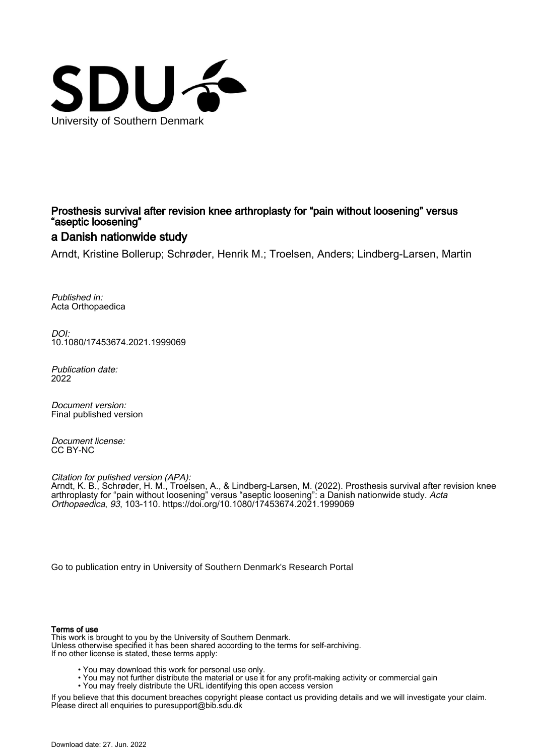

## Prosthesis survival after revision knee arthroplasty for "pain without loosening" versus "aseptic loosening"

### a Danish nationwide study

Arndt, Kristine Bollerup; Schrøder, Henrik M.; Troelsen, Anders; Lindberg-Larsen, Martin

Published in: Acta Orthopaedica

DOI: [10.1080/17453674.2021.1999069](https://doi.org/10.1080/17453674.2021.1999069)

Publication date: 2022

Document version: Final published version

Document license: CC BY-NC

Citation for pulished version (APA):

Arndt, K. B., Schrøder, H. M., Troelsen, A., & Lindberg-Larsen, M. (2022). Prosthesis survival after revision knee arthroplasty for "pain without loosening" versus "aseptic loosening": a Danish nationwide study. *Acta* Orthopaedica, 93, 103-110.<https://doi.org/10.1080/17453674.2021.1999069>

[Go to publication entry in University of Southern Denmark's Research Portal](https://portal.findresearcher.sdu.dk/en/publications/e8eb8131-6afb-4657-bfe8-679e88c857f1)

#### Terms of use

This work is brought to you by the University of Southern Denmark. Unless otherwise specified it has been shared according to the terms for self-archiving. If no other license is stated, these terms apply:

- You may download this work for personal use only.
- You may not further distribute the material or use it for any profit-making activity or commercial gain
	- You may freely distribute the URL identifying this open access version

If you believe that this document breaches copyright please contact us providing details and we will investigate your claim. Please direct all enquiries to puresupport@bib.sdu.dk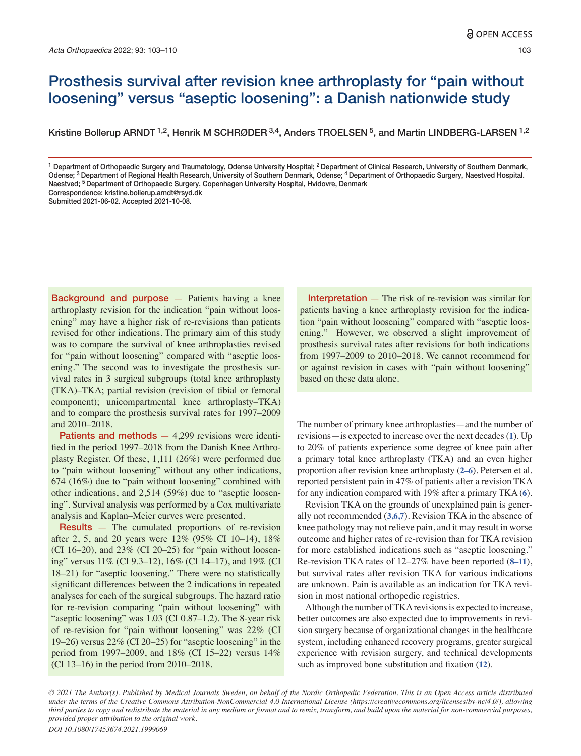## Prosthesis survival after revision knee arthroplasty for "pain without loosening" versus "aseptic loosening": a Danish nationwide study

Kristine Bollerup ARNDT <sup>1,2</sup>, Henrik M SCHRØDER <sup>3,4</sup>, Anders TROELSEN <sup>5</sup>, and Martin LINDBERG-LARSEN <sup>1,2</sup>

<sup>1</sup> Department of Orthopaedic Surgery and Traumatology, Odense University Hospital; <sup>2</sup> Department of Clinical Research, University of Southern Denmark, Odense; <sup>3</sup> Department of Regional Health Research, University of Southern Denmark, Odense; <sup>4</sup> Department of Orthopaedic Surgery, Naestved Hospital. Naestved; 5 Department of Orthopaedic Surgery, Copenhagen University Hospital, Hvidovre, Denmark

Correspondence: kristine.bollerup.arndt@rsyd.dk

Submitted 2021-06-02. Accepted 2021-10-08.

Background and purpose — Patients having a knee arthroplasty revision for the indication "pain without loosening" may have a higher risk of re-revisions than patients revised for other indications. The primary aim of this study was to compare the survival of knee arthroplasties revised for "pain without loosening" compared with "aseptic loosening." The second was to investigate the prosthesis survival rates in 3 surgical subgroups (total knee arthroplasty (TKA)–TKA; partial revision (revision of tibial or femoral component); unicompartmental knee arthroplasty–TKA) and to compare the prosthesis survival rates for 1997–2009 and 2010–2018.

**Patients and methods**  $-4,299$  revisions were identified in the period 1997–2018 from the Danish Knee Arthroplasty Register. Of these, 1,111 (26%) were performed due to "pain without loosening" without any other indications, 674 (16%) due to "pain without loosening" combined with other indications, and 2,514 (59%) due to "aseptic loosening". Survival analysis was performed by a Cox multivariate analysis and Kaplan–Meier curves were presented.

Results — The cumulated proportions of re-revision after 2, 5, and 20 years were 12% (95% CI 10–14), 18% (CI 16–20), and  $23\%$  (CI 20–25) for "pain without loosening" versus 11% (CI 9.3–12), 16% (CI 14–17), and 19% (CI 18–21) for "aseptic loosening." There were no statistically significant differences between the 2 indications in repeated analyses for each of the surgical subgroups. The hazard ratio for re-revision comparing "pain without loosening" with "aseptic loosening" was 1.03 (CI 0.87–1.2). The 8-year risk of re-revision for "pain without loosening" was 22% (CI 19–26) versus 22% (CI 20–25) for "aseptic loosening" in the period from 1997–2009, and 18% (CI 15–22) versus 14% (CI 13–16) in the period from 2010–2018.

Interpretation  $-$  The risk of re-revision was similar for patients having a knee arthroplasty revision for the indication "pain without loosening" compared with "aseptic loosening." However, we observed a slight improvement of prosthesis survival rates after revisions for both indications from 1997–2009 to 2010–2018. We cannot recommend for or against revision in cases with "pain without loosening" based on these data alone.

The number of primary knee arthroplasties—and the number of revisions—is expected to increase over the next decades (**1**). Up to 20% of patients experience some degree of knee pain after a primary total knee arthroplasty (TKA) and an even higher proportion after revision knee arthroplasty (**2–6**). Petersen et al. reported persistent pain in 47% of patients after a revision TKA for any indication compared with 19% after a primary TKA (**6**).

Revision TKA on the grounds of unexplained pain is generally not recommended (**3,6,7**). Revision TKA in the absence of knee pathology may not relieve pain, and it may result in worse outcome and higher rates of re-revision than for TKA revision for more established indications such as "aseptic loosening." Re-revision TKA rates of 12–27% have been reported (**8–11**), but survival rates after revision TKA for various indications are unknown. Pain is available as an indication for TKA revision in most national orthopedic registries.

Although the number of TKA revisions is expected to increase, better outcomes are also expected due to improvements in revision surgery because of organizational changes in the healthcare system, including enhanced recovery programs, greater surgical experience with revision surgery, and technical developments such as improved bone substitution and fixation (**12**).

*© 2021 The Author(s). Published by Medical Journals Sweden, on behalf of the Nordic Orthopedic Federation. This is an Open Access article distributed under the terms of the Creative Commons Attribution-NonCommercial 4.0 International License (https://creativecommons.org/licenses/by-nc/4.0/), allowing third parties to copy and redistribute the material in any medium or format and to remix, transform, and build upon the material for non-commercial purposes, provided proper attribution to the original work.*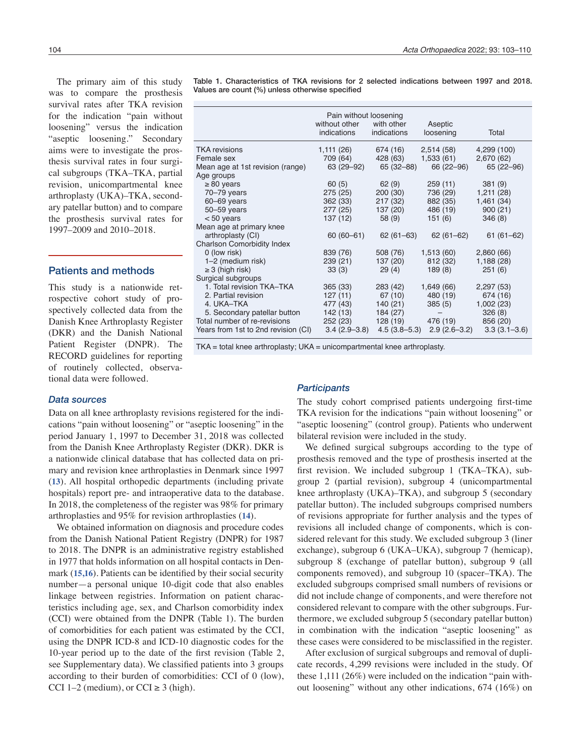The primary aim of this study was to compare the prosthesis survival rates after TKA revision for the indication "pain without loosening" versus the indication "aseptic loosening." Secondary aims were to investigate the prosthesis survival rates in four surgical subgroups (TKA–TKA, partial revision, unicompartmental knee arthroplasty (UKA)–TKA, secondary patellar button) and to compare the prosthesis survival rates for 1997–2009 and 2010–2018.

#### Patients and methods

tional data were followed. This study is a nationwide retrospective cohort study of prospectively collected data from the Danish Knee Arthroplasty Register (DKR) and the Danish National Patient Register (DNPR). The RECORD guidelines for reporting of routinely collected, observaTable 1. Characteristics of TKA revisions for 2 selected indications between 1997 and 2018. Values are count (%) unless otherwise specified

|                                     | Pain without loosening<br>without other |                  |                      |                  |
|-------------------------------------|-----------------------------------------|------------------|----------------------|------------------|
|                                     | indications                             | indications      | Aseptic<br>loosening | Total            |
| TKA revisions                       | 1,111 (26)                              | 674 (16)         | 2,514(58)            | 4,299 (100)      |
| Female sex                          | 709 (64)                                | 428 (63)         | 1,533 (61)           | 2,670(62)        |
| Mean age at 1st revision (range)    | 63 (29–92)                              | 65 (32-88)       | 66 (22 - 96)         | $65(22 - 96)$    |
| Age groups                          |                                         |                  |                      |                  |
| $\geq 80$ years                     | 60(5)                                   | 62(9)            | 259(11)              | 381(9)           |
| 70-79 years                         | 275(25)                                 | 200 (30)         | 736 (29)             | 1,211(28)        |
| $60 - 69$ years                     | 362 (33)                                | 217(32)          | 882 (35)             | 1,461(34)        |
| 50-59 years                         | 277 (25)                                | 137 (20)         | 486 (19)             | 900(21)          |
| $< 50$ years                        | 137 (12)                                | 58 (9)           | 151 (6)              | 346(8)           |
| Mean age at primary knee            |                                         |                  |                      |                  |
| arthroplasty (CI)                   | 60 (60 - 61)                            | $62(61-63)$      | $62(61-62)$          | $61(61-62)$      |
| <b>Charlson Comorbidity Index</b>   |                                         |                  |                      |                  |
| 0 (low risk)                        | 839 (76)                                | 508 (76)         | 1,513(60)            | 2,860 (66)       |
| 1-2 (medium risk)                   | 239(21)                                 | 137 (20)         | 812 (32)             | 1,188(28)        |
| $\geq$ 3 (high risk)                | 33(3)                                   | 29(4)            | 189 (8)              | 251(6)           |
| Surgical subgroups                  |                                         |                  |                      |                  |
| 1. Total revision TKA-TKA           | 365(33)                                 | 283 (42)         | 1,649 (66)           | 2,297(53)        |
| 2. Partial revision                 | 127(11)                                 | 67(10)           | 480 (19)             | 674 (16)         |
| 4. UKA-TKA                          | 477 (43)                                | 140(21)          | 385(5)               | 1,002(23)        |
| 5. Secondary patellar button        | 142 (13)                                | 184 (27)         |                      | 326(8)           |
| Total number of re-revisions        | 252(23)                                 | 128(19)          | 476 (19)             | 856 (20)         |
| Years from 1st to 2nd revision (CI) | $3.4(2.9 - 3.8)$                        | $4.5(3.8 - 5.3)$ | $2.9(2.6-3.2)$       | $3.3(3.1 - 3.6)$ |

TKA = total knee arthroplasty; UKA = unicompartmental knee arthroplasty.

#### *Data sources*

Data on all knee arthroplasty revisions registered for the indications "pain without loosening" or "aseptic loosening" in the period January 1, 1997 to December 31, 2018 was collected from the Danish Knee Arthroplasty Register (DKR). DKR is a nationwide clinical database that has collected data on primary and revision knee arthroplasties in Denmark since 1997 (**13**). All hospital orthopedic departments (including private hospitals) report pre- and intraoperative data to the database. In 2018, the completeness of the register was 98% for primary arthroplasties and 95% for revision arthroplasties (**14**).

We obtained information on diagnosis and procedure codes from the Danish National Patient Registry (DNPR) for 1987 to 2018. The DNPR is an administrative registry established in 1977 that holds information on all hospital contacts in Denmark (**15,16**). Patients can be identified by their social security number—a personal unique 10-digit code that also enables linkage between registries. Information on patient characteristics including age, sex, and Charlson comorbidity index (CCI) were obtained from the DNPR (Table 1). The burden of comorbidities for each patient was estimated by the CCI, using the DNPR ICD-8 and ICD-10 diagnostic codes for the 10-year period up to the date of the first revision (Table 2, see Supplementary data). We classified patients into 3 groups according to their burden of comorbidities: CCI of 0 (low), CCI 1–2 (medium), or CCI  $\geq$  3 (high).

#### *Participants*

The study cohort comprised patients undergoing first-time TKA revision for the indications "pain without loosening" or "aseptic loosening" (control group). Patients who underwent bilateral revision were included in the study.

We defined surgical subgroups according to the type of prosthesis removed and the type of prosthesis inserted at the first revision. We included subgroup 1 (TKA–TKA), subgroup 2 (partial revision), subgroup 4 (unicompartmental knee arthroplasty (UKA)–TKA), and subgroup 5 (secondary patellar button). The included subgroups comprised numbers of revisions appropriate for further analysis and the types of revisions all included change of components, which is considered relevant for this study. We excluded subgroup 3 (liner exchange), subgroup 6 (UKA–UKA), subgroup 7 (hemicap), subgroup 8 (exchange of patellar button), subgroup 9 (all components removed), and subgroup 10 (spacer–TKA). The excluded subgroups comprised small numbers of revisions or did not include change of components, and were therefore not considered relevant to compare with the other subgroups. Furthermore, we excluded subgroup 5 (secondary patellar button) in combination with the indication "aseptic loosening" as these cases were considered to be misclassified in the register.

After exclusion of surgical subgroups and removal of duplicate records, 4,299 revisions were included in the study. Of these 1,111 (26%) were included on the indication "pain without loosening" without any other indications, 674 (16%) on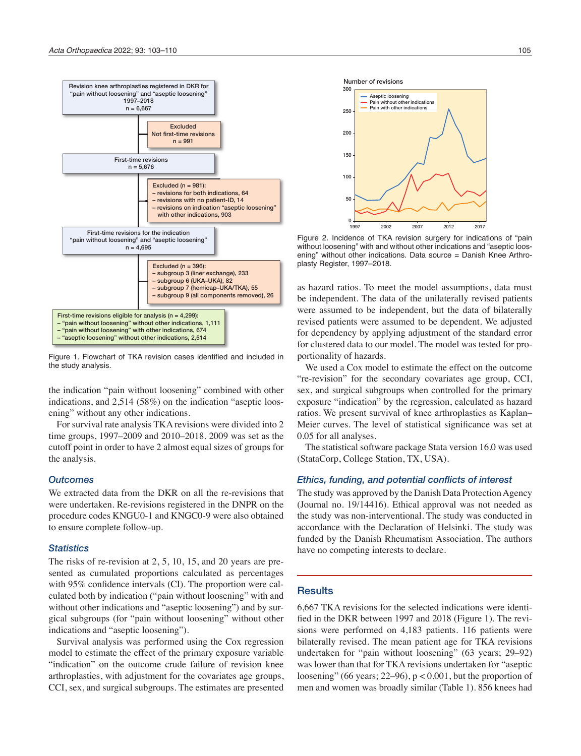

Figure 1. Flowchart of TKA revision cases identified and included in the study analysis.

the indication "pain without loosening" combined with other indications, and 2,514 (58%) on the indication "aseptic loosening" without any other indications.

For survival rate analysis TKA revisions were divided into 2 time groups, 1997–2009 and 2010–2018. 2009 was set as the cutoff point in order to have 2 almost equal sizes of groups for the analysis.

#### *Outcomes*

We extracted data from the DKR on all the re-revisions that were undertaken. Re-revisions registered in the DNPR on the procedure codes KNGU0-1 and KNGC0-9 were also obtained to ensure complete follow-up.

#### *Statistics*

The risks of re-revision at 2, 5, 10, 15, and 20 years are presented as cumulated proportions calculated as percentages with 95% confidence intervals (CI). The proportion were calculated both by indication ("pain without loosening" with and without other indications and "aseptic loosening") and by surgical subgroups (for "pain without loosening" without other indications and "aseptic loosening").

Survival analysis was performed using the Cox regression model to estimate the effect of the primary exposure variable "indication" on the outcome crude failure of revision knee arthroplasties, with adjustment for the covariates age groups, CCI, sex, and surgical subgroups. The estimates are presented





Figure 2. Incidence of TKA revision surgery for indications of "pain without loosening" with and without other indications and "aseptic loosening" without other indications. Data source = Danish Knee Arthroplasty Register, 1997–2018.

as hazard ratios. To meet the model assumptions, data must be independent. The data of the unilaterally revised patients were assumed to be independent, but the data of bilaterally revised patients were assumed to be dependent. We adjusted for dependency by applying adjustment of the standard error for clustered data to our model. The model was tested for proportionality of hazards.

We used a Cox model to estimate the effect on the outcome "re-revision" for the secondary covariates age group, CCI, sex, and surgical subgroups when controlled for the primary exposure "indication" by the regression, calculated as hazard ratios. We present survival of knee arthroplasties as Kaplan– Meier curves. The level of statistical significance was set at 0.05 for all analyses.

The statistical software package Stata version 16.0 was used (StataCorp, College Station, TX, USA).

#### *Ethics, funding, and potential conflicts of interest*

The study was approved by the Danish Data Protection Agency (Journal no. 19/14416). Ethical approval was not needed as the study was non-interventional. The study was conducted in accordance with the Declaration of Helsinki. The study was funded by the Danish Rheumatism Association. The authors have no competing interests to declare.

#### **Results**

6,667 TKA revisions for the selected indications were identified in the DKR between 1997 and 2018 (Figure 1). The revisions were performed on 4,183 patients. 116 patients were bilaterally revised. The mean patient age for TKA revisions undertaken for "pain without loosening" (63 years; 29–92) was lower than that for TKA revisions undertaken for "aseptic loosening" (66 years;  $22-96$ ),  $p < 0.001$ , but the proportion of men and women was broadly similar (Table 1). 856 knees had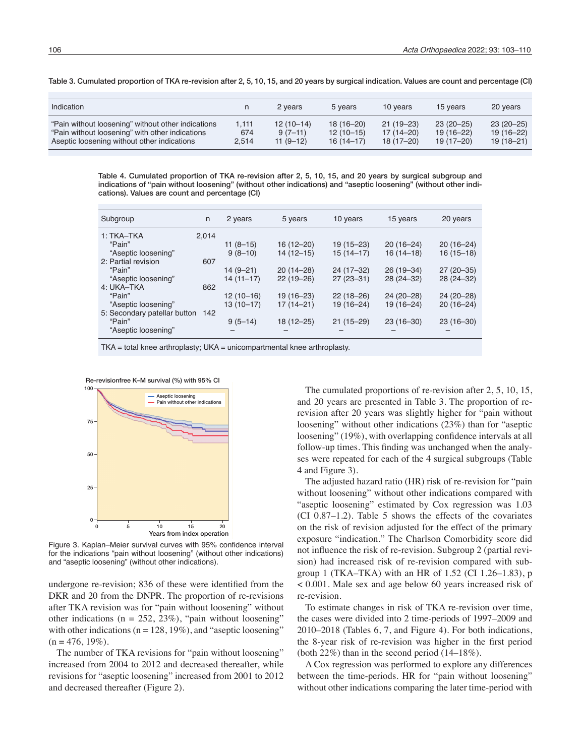Table 3. Cumulated proportion of TKA re-revision after 2, 5, 10, 15, and 20 years by surgical indication. Values are count and percentage (CI)

| Indication                                                                                                                                           |                       | 2 years                                | 5 years                                     | 10 years                                      | 15 years                                   | 20 years                                      |
|------------------------------------------------------------------------------------------------------------------------------------------------------|-----------------------|----------------------------------------|---------------------------------------------|-----------------------------------------------|--------------------------------------------|-----------------------------------------------|
| "Pain without loosening" without other indications<br>"Pain without loosening" with other indications<br>Aseptic loosening without other indications | 1,111<br>674<br>2.514 | $12(10-14)$<br>$9(7-11)$<br>$11(9-12)$ | $18(16 - 20)$<br>$12(10-15)$<br>$16(14-17)$ | $21(19-23)$<br>$17(14 - 20)$<br>$18(17 - 20)$ | $23(20-25)$<br>$19(16 - 22)$<br>19 (17–20) | $23(20-25)$<br>$19(16 - 22)$<br>$19(18 - 21)$ |

Table 4. Cumulated proportion of TKA re-revision after 2, 5, 10, 15, and 20 years by surgical subgroup and indications of "pain without loosening" (without other indications) and "aseptic loosening" (without other indications). Values are count and percentage (CI)

| Subgroup                     | n     | 2 years    | 5 years       | 10 years      | 15 years      | 20 years    |
|------------------------------|-------|------------|---------------|---------------|---------------|-------------|
| 1: TKA-TKA                   | 2.014 |            |               |               |               |             |
| "Pain"                       |       | $11(8-15)$ | $16(12 - 20)$ | $19(15 - 23)$ | $20(16-24)$   | $20(16-24)$ |
| "Aseptic loosening"          |       | $9(8-10)$  | $14(12 - 15)$ | $15(14-17)$   | $16(14-18)$   | $16(15-18)$ |
| 2: Partial revision          | 607   |            |               |               |               |             |
| "Pain"                       |       | 14 (9–21)  | $20(14 - 28)$ | 24 (17-32)    | $26(19 - 34)$ | $27(20-35)$ |
| "Aseptic loosening"          |       | 14 (11–17) | $22(19-26)$   | $27(23-31)$   | 28 (24-32)    | 28 (24-32)  |
| 4: UKA-TKA                   | 862   |            |               |               |               |             |
| "Pain"                       |       | 12 (10-16) | 19 (16-23)    | $22(18-26)$   | 24 (20-28)    | 24 (20-28)  |
| "Aseptic loosening"          |       | 13 (10-17) | 17 (14–21)    | 19 (16-24)    | $19(16 - 24)$ | $20(16-24)$ |
| 5: Secondary patellar button | 142   |            |               |               |               |             |
| "Pain"                       |       | $9(5-14)$  | 18 (12-25)    | $21(15-29)$   | $23(16-30)$   | $23(16-30)$ |
| "Aseptic loosening"          |       |            |               |               |               |             |
|                              |       |            |               |               |               |             |

TKA = total knee arthroplasty; UKA = unicompartmental knee arthroplasty.



Figure 3. Kaplan–Meier survival curves with 95% confidence interval for the indications "pain without loosening" (without other indications) and "aseptic loosening" (without other indications).

undergone re-revision; 836 of these were identified from the DKR and 20 from the DNPR. The proportion of re-revisions after TKA revision was for "pain without loosening" without other indications ( $n = 252, 23\%)$ , "pain without loosening" with other indications ( $n = 128, 19\%$ ), and "aseptic loosening"  $(n = 476, 19\%).$ 

The number of TKA revisions for "pain without loosening" increased from 2004 to 2012 and decreased thereafter, while revisions for "aseptic loosening" increased from 2001 to 2012 and decreased thereafter (Figure 2).

The cumulated proportions of re-revision after 2, 5, 10, 15, and 20 years are presented in Table 3. The proportion of rerevision after 20 years was slightly higher for "pain without loosening" without other indications (23%) than for "aseptic loosening" (19%), with overlapping confidence intervals at all follow-up times. This finding was unchanged when the analyses were repeated for each of the 4 surgical subgroups (Table 4 and Figure 3).

The adjusted hazard ratio (HR) risk of re-revision for "pain without loosening" without other indications compared with "aseptic loosening" estimated by Cox regression was 1.03 (CI 0.87–1.2). Table 5 shows the effects of the covariates on the risk of revision adjusted for the effect of the primary exposure "indication." The Charlson Comorbidity score did not influence the risk of re-revision. Subgroup 2 (partial revision) had increased risk of re-revision compared with subgroup 1 (TKA–TKA) with an HR of 1.52 (CI 1.26–1.83), p < 0.001. Male sex and age below 60 years increased risk of re-revision.

To estimate changes in risk of TKA re-revision over time, the cases were divided into 2 time-periods of 1997–2009 and 2010–2018 (Tables 6, 7, and Figure 4). For both indications, the 8-year risk of re-revision was higher in the first period (both 22%) than in the second period (14–18%).

A Cox regression was performed to explore any differences between the time-periods. HR for "pain without loosening" without other indications comparing the later time-period with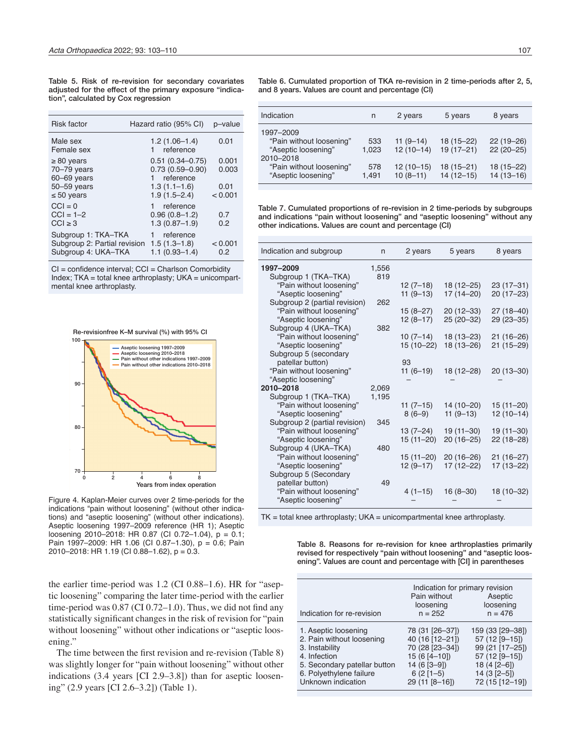Table 5. Risk of re-revision for secondary covariates adjusted for the effect of the primary exposure "indication", calculated by Cox regression

| Hazard ratio (95% CI)                                                                                                            | p-value         |
|----------------------------------------------------------------------------------------------------------------------------------|-----------------|
| $1.2(1.06-1.4)$<br>1 reference                                                                                                   | 0.01            |
| $0.51(0.34 - 0.75)$<br>$0.73(0.59 - 0.90)$<br>reference<br>1.                                                                    | 0.001<br>0.003  |
| $1.3(1.1 - 1.6)$<br>$1.9(1.5 - 2.4)$                                                                                             | 0.01<br>< 0.001 |
| reference<br>$0.96(0.8 - 1.2)$<br>$1.3(0.87 - 1.9)$                                                                              | 0.7<br>0.2      |
| Subgroup 1: TKA-TKA<br>reference<br>Subgroup 2: Partial revision<br>$1.5(1.3 - 1.8)$<br>Subgroup 4: UKA-TKA<br>$1.1(0.93 - 1.4)$ | < 0.001<br>0.2  |
|                                                                                                                                  |                 |

CI = confidence interval; CCI = Charlson Comorbidity Index; TKA = total knee arthroplasty; UKA = unicompartmental knee arthroplasty.

Re-revisionfree K–M survival (%) with 95% CI



Figure 4. Kaplan-Meier curves over 2 time-periods for the indications "pain without loosening" (without other indications) and "aseptic loosening" (without other indications). Aseptic loosening 1997–2009 reference (HR 1); Aseptic loosening 2010–2018: HR 0.87 (CI 0.72–1.04), p = 0.1; Pain 1997–2009: HR 1.06 (CI 0.87–1.30), p = 0.6; Pain 2010–2018: HR 1.19 (CI 0.88–1.62), p = 0.3.

the earlier time-period was 1.2 (CI 0.88–1.6). HR for "aseptic loosening" comparing the later time-period with the earlier time-period was 0.87 (CI 0.72–1.0). Thus, we did not find any statistically significant changes in the risk of revision for "pain without loosening" without other indications or "aseptic loosening."

The time between the first revision and re-revision (Table 8) was slightly longer for "pain without loosening" without other indications (3.4 years [CI 2.9–3.8]) than for aseptic loosening" (2.9 years [CI 2.6–3.2]) (Table 1).

Table 6. Cumulated proportion of TKA re-revision in 2 time-periods after 2, 5, and 8 years. Values are count and percentage (CI)

| Indication                                                                | n            | 2 years                   | 5 years                      | 8 years                        |
|---------------------------------------------------------------------------|--------------|---------------------------|------------------------------|--------------------------------|
| 1997-2009<br>"Pain without loosening"<br>"Aseptic loosening"<br>2010-2018 | 533<br>1.023 | $11(9-14)$<br>$12(10-14)$ | $18(15 - 22)$<br>$19(17-21)$ | $22(19-26)$<br>$22(20-25)$     |
| "Pain without loosening"<br>"Aseptic loosening"                           | 578<br>1.491 | $12(10-15)$<br>$10(8-11)$ | $18(15 - 21)$<br>$14(12-15)$ | $18(15 - 22)$<br>$14(13 - 16)$ |

Table 7. Cumulated proportions of re-revision in 2 time-periods by subgroups and indications "pain without loosening" and "aseptic loosening" without any other indications. Values are count and percentage (CI)

| Indication and subgroup                         | n     | 2 years     | 5 years                   | 8 years       |
|-------------------------------------------------|-------|-------------|---------------------------|---------------|
| 1997-2009                                       | 1,556 |             |                           |               |
| Subgroup 1 (TKA-TKA)                            | 819   |             |                           |               |
| "Pain without loosening"                        |       | $12(7-18)$  | 18 (12-25)                | $23(17-31)$   |
| "Aseptic loosening"                             |       | $11(9-13)$  | $17(14 - 20)$             | $20(17-23)$   |
| Subgroup 2 (partial revision)                   | 262   |             |                           |               |
| "Pain without loosening"                        |       | $15(8-27)$  | $20(12-33)$               | $27(18-40)$   |
| "Aseptic loosening"                             |       | $12(8-17)$  | $25(20-32)$               | $29(23 - 35)$ |
| Subgroup 4 (UKA-TKA)                            | 382   |             |                           |               |
| "Pain without loosening"                        |       | $10(7-14)$  | $18(13 - 23)$             | $21(16-26)$   |
| "Aseptic loosening"                             |       | 15 (10-22)  | $18(13 - 26)$             | $21(15-29)$   |
| Subgroup 5 (secondary                           |       |             |                           |               |
| patellar button)                                |       | 93          |                           |               |
| "Pain without loosening"                        |       | $11(6-19)$  | 18 (12-28)                | $20(13 - 30)$ |
| "Aseptic loosening"                             |       |             |                           |               |
| 2010-2018                                       | 2,069 |             |                           |               |
| Subgroup 1 (TKA-TKA)                            | 1,195 |             |                           |               |
| "Pain without loosening"                        |       | $11(7-15)$  | 14 (10-20)                | $15(11 - 20)$ |
| "Aseptic loosening"                             |       | $8(6-9)$    | $11(9-13)$                | $12(10-14)$   |
| Subgroup 2 (partial revision)                   | 345   |             |                           |               |
| "Pain without loosening"                        |       | 13 (7–24)   | 19 (11-30)                | $19(11 - 30)$ |
| "Aseptic loosening"                             |       | $15(11-20)$ | $20(16-25)$               | $22(18-28)$   |
| Subgroup 4 (UKA-TKA)                            | 480   |             |                           |               |
| "Pain without loosening"<br>"Aseptic loosening" |       | 15 (11-20)  | $20(16-26)$<br>17 (12-22) | $21(16-27)$   |
|                                                 |       | $12(9-17)$  |                           | $17(13 - 22)$ |
| Subgroup 5 (Secondary<br>patellar button)       | 49    |             |                           |               |
| "Pain without loosening"                        |       | $4(1-15)$   | $16(8-30)$                | 18 (10-32)    |
| "Aseptic loosening"                             |       |             |                           |               |
|                                                 |       |             |                           |               |

 $TK = total$  knee arthroplasty;  $UKA =$  unicompartmental knee arthroplasty.

Table 8. Reasons for re-revision for knee arthroplasties primarily revised for respectively "pain without loosening" and "aseptic loosening". Values are count and percentage with [CI] in parentheses

| Indication for re-revision   | Indication for primary revision<br>Pain without<br>loosening<br>$n = 252$ | Aseptic<br>loosening<br>$n = 476$ |
|------------------------------|---------------------------------------------------------------------------|-----------------------------------|
| 1. Aseptic loosening         | 78 (31 [26-37])                                                           | 159 (33 [29-38])                  |
| 2. Pain without loosening    | 40 (16 [12-21])                                                           | 57 (12 [9-15])                    |
| 3. Instability               | 70 (28 [23-34])                                                           | 99 (21 [17-25])                   |
| 4. Infection                 | $15(6[4-10])$                                                             | 57 (12 [9-15])                    |
| 5. Secondary patellar button | 14 (6 [3-9])                                                              | $18(4[2-6])$                      |
| 6. Polyethylene failure      | $6(2[1-5)]$                                                               | $14(3 [2 - 5])$                   |
| Unknown indication           | 29 (11 [8-16])                                                            | 72 (15 [12-19])                   |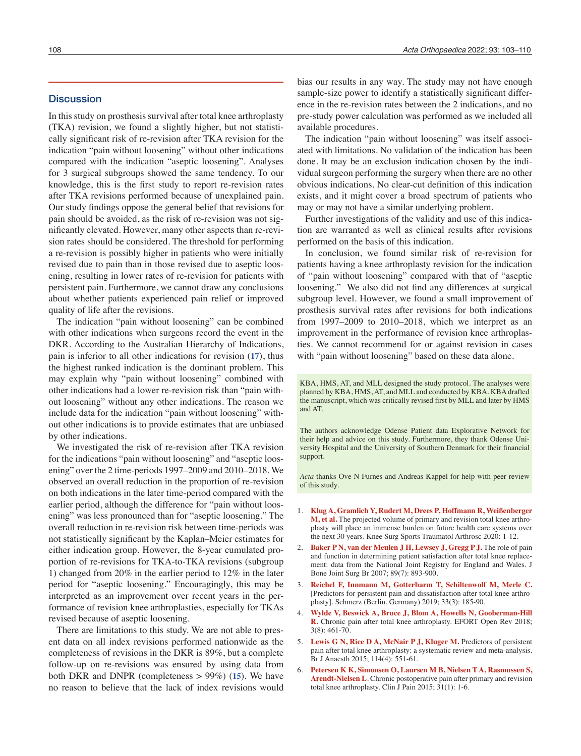#### **Discussion**

In this study on prosthesis survival after total knee arthroplasty (TKA) revision, we found a slightly higher, but not statistically significant risk of re-revision after TKA revision for the indication "pain without loosening" without other indications compared with the indication "aseptic loosening". Analyses for 3 surgical subgroups showed the same tendency. To our knowledge, this is the first study to report re-revision rates after TKA revisions performed because of unexplained pain. Our study findings oppose the general belief that revisions for pain should be avoided, as the risk of re-revision was not significantly elevated. However, many other aspects than re-revision rates should be considered. The threshold for performing a re-revision is possibly higher in patients who were initially revised due to pain than in those revised due to aseptic loosening, resulting in lower rates of re-revision for patients with persistent pain. Furthermore, we cannot draw any conclusions about whether patients experienced pain relief or improved quality of life after the revisions.

The indication "pain without loosening" can be combined with other indications when surgeons record the event in the DKR. According to the Australian Hierarchy of Indications, pain is inferior to all other indications for revision (**17**), thus the highest ranked indication is the dominant problem. This may explain why "pain without loosening" combined with other indications had a lower re-revision risk than "pain without loosening" without any other indications. The reason we include data for the indication "pain without loosening" without other indications is to provide estimates that are unbiased by other indications.

We investigated the risk of re-revision after TKA revision for the indications "pain without loosening" and "aseptic loosening" over the 2 time-periods 1997–2009 and 2010–2018. We observed an overall reduction in the proportion of re-revision on both indications in the later time-period compared with the earlier period, although the difference for "pain without loosening" was less pronounced than for "aseptic loosening." The overall reduction in re-revision risk between time-periods was not statistically significant by the Kaplan–Meier estimates for either indication group. However, the 8-year cumulated proportion of re-revisions for TKA-to-TKA revisions (subgroup 1) changed from 20% in the earlier period to 12% in the later period for "aseptic loosening." Encouragingly, this may be interpreted as an improvement over recent years in the performance of revision knee arthroplasties, especially for TKAs revised because of aseptic loosening.

There are limitations to this study. We are not able to present data on all index revisions performed nationwide as the completeness of revisions in the DKR is 89%, but a complete follow-up on re-revisions was ensured by using data from both DKR and DNPR (completeness > 99%) (**15**). We have no reason to believe that the lack of index revisions would

bias our results in any way. The study may not have enough sample-size power to identify a statistically significant difference in the re-revision rates between the 2 indications, and no pre-study power calculation was performed as we included all available procedures.

The indication "pain without loosening" was itself associated with limitations. No validation of the indication has been done. It may be an exclusion indication chosen by the individual surgeon performing the surgery when there are no other obvious indications. No clear-cut definition of this indication exists, and it might cover a broad spectrum of patients who may or may not have a similar underlying problem.

Further investigations of the validity and use of this indication are warranted as well as clinical results after revisions performed on the basis of this indication.

In conclusion, we found similar risk of re-revision for patients having a knee arthroplasty revision for the indication of "pain without loosening" compared with that of "aseptic loosening." We also did not find any differences at surgical subgroup level. However, we found a small improvement of prosthesis survival rates after revisions for both indications from 1997–2009 to 2010–2018, which we interpret as an improvement in the performance of revision knee arthroplasties. We cannot recommend for or against revision in cases with "pain without loosening" based on these data alone.

KBA, HMS, AT, and MLL designed the study protocol. The analyses were planned by KBA, HMS, AT, and MLL and conducted by KBA. KBA drafted the manuscript, which was critically revised first by MLL and later by HMS and AT.

The authors acknowledge Odense Patient data Explorative Network for their help and advice on this study. Furthermore, they thank Odense University Hospital and the University of Southern Denmark for their financial support.

*Acta* thanks Ove N Furnes and Andreas Kappel for help with peer review of this study.

- 1. **Klug A, Gramlich Y, Rudert M, Drees P, Hoffmann R, Weißenberger M, et al.** The projected volume of primary and revision total knee arthroplasty will place an immense burden on future health care systems over the next 30 years. Knee Surg Sports Traumatol Arthrosc 2020: 1-12.
- 2. **Baker P N, van der Meulen J H, Lewsey J, Gregg P J.** The role of pain and function in determining patient satisfaction after total knee replacement: data from the National Joint Registry for England and Wales. J Bone Joint Surg Br 2007; 89(7): 893-900.
- 3. **Reichel F, Innmann M, Gotterbarm T, Schiltenwolf M, Merle C.** [Predictors for persistent pain and dissatisfaction after total knee arthroplasty]. Schmerz (Berlin, Germany) 2019; 33(3): 185-90.
- 4. **Wylde V, Beswick A, Bruce J, Blom A, Howells N, Gooberman-Hill R.** Chronic pain after total knee arthroplasty. EFORT Open Rev 2018; 3(8): 461-70.
- 5. **Lewis G N, Rice D A, McNair P J, Kluger M.** Predictors of persistent pain after total knee arthroplasty: a systematic review and meta-analysis. Br J Anaesth 2015; 114(4): 551-61.
- 6. **Petersen K K, Simonsen O, Laursen M B, Nielsen T A, Rasmussen S, Arendt-Nielsen L**. Chronic postoperative pain after primary and revision total knee arthroplasty. Clin J Pain 2015; 31(1): 1-6.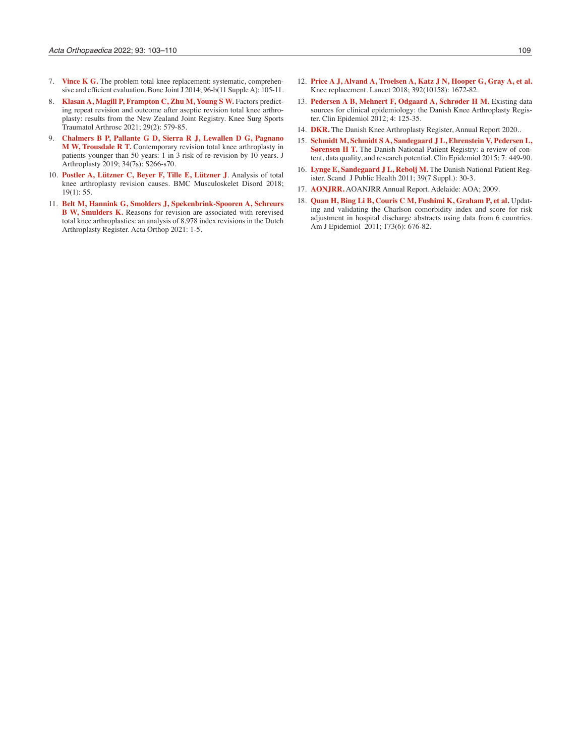- 7. **Vince K G.** The problem total knee replacement: systematic, comprehensive and efficient evaluation. Bone Joint J 2014; 96-b(11 Supple A): 105-11.
- 8. **Klasan A, Magill P, Frampton C, Zhu M, Young S W. Factors predict**ing repeat revision and outcome after aseptic revision total knee arthroplasty: results from the New Zealand Joint Registry. Knee Surg Sports Traumatol Arthrosc 2021; 29(2): 579-85.
- 9. **Chalmers B P, Pallante G D, Sierra R J, Lewallen D G, Pagnano M W, Trousdale R T.** Contemporary revision total knee arthroplasty in patients younger than 50 years: 1 in 3 risk of re-revision by 10 years. J Arthroplasty 2019; 34(7s): S266-s70.
- 10. **Postler A, Lützner C, Beyer F, Tille E, Lützner J**. Analysis of total knee arthroplasty revision causes. BMC Musculoskelet Disord 2018; 19(1): 55.
- 11. **Belt M, Hannink G, Smolders J, Spekenbrink-Spooren A, Schreurs B W, Smulders K.** Reasons for revision are associated with rerevised total knee arthroplasties: an analysis of 8,978 index revisions in the Dutch Arthroplasty Register. Acta Orthop 2021: 1-5.
- 12. **Price A J, Alvand A, Troelsen A, Katz J N, Hooper G, Gray A, et al.** Knee replacement. Lancet 2018; 392(10158): 1672-82.
- 13. **Pedersen A B, Mehnert F, Odgaard A, Schrøder H M, Existing data** sources for clinical epidemiology: the Danish Knee Arthroplasty Register. Clin Epidemiol 2012; 4: 125-35.
- 14. **DKR.** The Danish Knee Arthroplasty Register, Annual Report 2020..
- 15. **Schmidt M, Schmidt S A, Sandegaard J L, Ehrenstein V, Pedersen L, Sørensen H T.** The Danish National Patient Registry: a review of content, data quality, and research potential. Clin Epidemiol 2015; 7: 449-90.
- 16. **Lynge E, Sandegaard J L, Rebolj M.** The Danish National Patient Register. Scand J Public Health 2011; 39(7 Suppl.): 30-3.
- 17. **AONJRR.** AOANJRR Annual Report. Adelaide: AOA; 2009.
- 18. **Quan H, Bing Li B, Couris C M, Fushimi K, Graham P, et al.** Updating and validating the Charlson comorbidity index and score for risk adjustment in hospital discharge abstracts using data from 6 countries. Am J Epidemiol 2011; 173(6): 676-82.